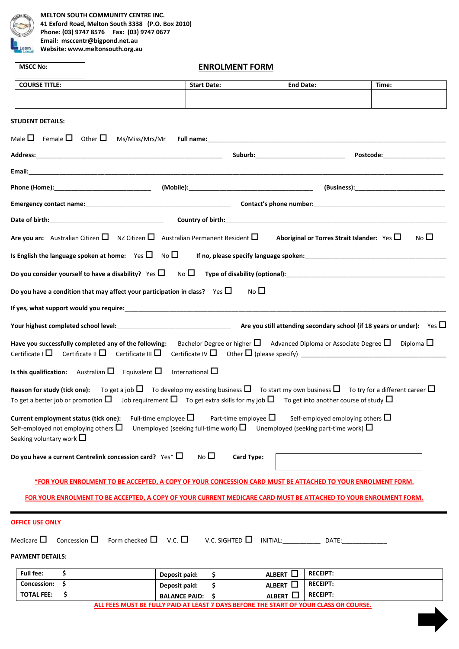

**MELTON SOUTH COMMUNITY CENTRE INC. 41 Exford Road, Melton South 3338 (P.O. Box 2010) Phone: (03) 9747 8576 Fax: (03) 9747 0677 Email: msccentr@bigpond.net.au Website: www.meltonsouth.org.au**

| <b>MSCC No:</b>                                                                        | <b>ENROLMENT FORM</b>           |                                                                                                                                                                                                                                                                                                                             |                                          |                                                  |                                                                             |  |  |  |
|----------------------------------------------------------------------------------------|---------------------------------|-----------------------------------------------------------------------------------------------------------------------------------------------------------------------------------------------------------------------------------------------------------------------------------------------------------------------------|------------------------------------------|--------------------------------------------------|-----------------------------------------------------------------------------|--|--|--|
| <b>COURSE TITLE:</b>                                                                   |                                 | <b>Start Date:</b>                                                                                                                                                                                                                                                                                                          | <b>End Date:</b>                         |                                                  | Time:                                                                       |  |  |  |
|                                                                                        |                                 |                                                                                                                                                                                                                                                                                                                             |                                          |                                                  |                                                                             |  |  |  |
| <b>STUDENT DETAILS:</b>                                                                |                                 |                                                                                                                                                                                                                                                                                                                             |                                          |                                                  |                                                                             |  |  |  |
| Male $\Box$ Female $\Box$ Other $\Box$                                                 | Ms/Miss/Mrs/Mr                  |                                                                                                                                                                                                                                                                                                                             |                                          |                                                  |                                                                             |  |  |  |
|                                                                                        |                                 |                                                                                                                                                                                                                                                                                                                             | Suburb:_________________________________ |                                                  | Postcode:____________________                                               |  |  |  |
|                                                                                        |                                 |                                                                                                                                                                                                                                                                                                                             |                                          |                                                  |                                                                             |  |  |  |
|                                                                                        |                                 |                                                                                                                                                                                                                                                                                                                             |                                          |                                                  |                                                                             |  |  |  |
|                                                                                        |                                 |                                                                                                                                                                                                                                                                                                                             |                                          |                                                  |                                                                             |  |  |  |
|                                                                                        |                                 |                                                                                                                                                                                                                                                                                                                             |                                          |                                                  |                                                                             |  |  |  |
|                                                                                        |                                 |                                                                                                                                                                                                                                                                                                                             |                                          |                                                  |                                                                             |  |  |  |
|                                                                                        |                                 | Are you an: Australian Citizen $\square$ NZ Citizen $\square$ Australian Permanent Resident $\square$                                                                                                                                                                                                                       |                                          | Aboriginal or Torres Strait Islander: Yes $\Box$ | No <sub>l</sub>                                                             |  |  |  |
| Is English the language spoken at home: Yes $\Box$ No $\Box$                           |                                 |                                                                                                                                                                                                                                                                                                                             |                                          |                                                  |                                                                             |  |  |  |
|                                                                                        |                                 |                                                                                                                                                                                                                                                                                                                             |                                          |                                                  |                                                                             |  |  |  |
|                                                                                        |                                 | Do you have a condition that may affect your participation in class? Yes $\Box$                                                                                                                                                                                                                                             | No <sub>l</sub>                          |                                                  |                                                                             |  |  |  |
|                                                                                        |                                 | If yes, what support would you require: entertainment of the control of the control of the control of the control of                                                                                                                                                                                                        |                                          |                                                  |                                                                             |  |  |  |
|                                                                                        |                                 |                                                                                                                                                                                                                                                                                                                             |                                          |                                                  | Are you still attending secondary school (if 18 years or under): Yes $\Box$ |  |  |  |
|                                                                                        |                                 |                                                                                                                                                                                                                                                                                                                             |                                          |                                                  |                                                                             |  |  |  |
|                                                                                        |                                 | Have you successfully completed any of the following: Bachelor Degree or higher $\Box$ Advanced Diploma or Associate Degree $\Box$ Diploma $\Box$                                                                                                                                                                           |                                          |                                                  |                                                                             |  |  |  |
| <b>Is this qualification:</b> Australian $\Box$ Equivalent $\Box$ International $\Box$ |                                 |                                                                                                                                                                                                                                                                                                                             |                                          |                                                  |                                                                             |  |  |  |
|                                                                                        |                                 | Reason for study (tick one): To get a job $\square$ To develop my existing business $\square$ To start my own business $\square$ To try for a different career $\square$<br>To get a better job or promotion $\Box$ Job requirement $\Box$ To get extra skills for my job $\Box$ To get into another course of study $\Box$ |                                          |                                                  |                                                                             |  |  |  |
| Current employment status (tick one):                                                  |                                 | Full-time employee $\Box$                                                                                                                                                                                                                                                                                                   | Part-time employee $\Box$                | Self-employed employing others $\Box$            |                                                                             |  |  |  |
| Self-employed not employing others $\square$<br>Seeking voluntary work $\square$       |                                 | Unemployed (seeking full-time work) $\square$ Unemployed (seeking part-time work) $\square$                                                                                                                                                                                                                                 |                                          |                                                  |                                                                             |  |  |  |
|                                                                                        |                                 | No <sub>1</sub>                                                                                                                                                                                                                                                                                                             |                                          |                                                  |                                                                             |  |  |  |
| Do you have a current Centrelink concession card? $Yes*$ $\square$                     |                                 |                                                                                                                                                                                                                                                                                                                             | Card Type:                               |                                                  |                                                                             |  |  |  |
|                                                                                        |                                 | *FOR YOUR ENROLMENT TO BE ACCEPTED, A COPY OF YOUR CONCESSION CARD MUST BE ATTACHED TO YOUR ENROLMENT FORM.                                                                                                                                                                                                                 |                                          |                                                  |                                                                             |  |  |  |
|                                                                                        |                                 | FOR YOUR ENROLMENT TO BE ACCEPTED, A COPY OF YOUR CURRENT MEDICARE CARD MUST BE ATTACHED TO YOUR ENROLMENT FORM.                                                                                                                                                                                                            |                                          |                                                  |                                                                             |  |  |  |
|                                                                                        |                                 |                                                                                                                                                                                                                                                                                                                             |                                          |                                                  |                                                                             |  |  |  |
| <b>OFFICE USE ONLY</b>                                                                 |                                 |                                                                                                                                                                                                                                                                                                                             |                                          |                                                  |                                                                             |  |  |  |
| Concession $\square$<br>Medicare $\square$                                             | Form checked $\Box$ V.C. $\Box$ | V.C. SIGHTED $\Box$                                                                                                                                                                                                                                                                                                         | INITIAL: DATE:                           |                                                  |                                                                             |  |  |  |
| <b>PAYMENT DETAILS:</b>                                                                |                                 |                                                                                                                                                                                                                                                                                                                             |                                          |                                                  |                                                                             |  |  |  |
| \$<br><b>Full fee:</b>                                                                 |                                 | Deposit paid:<br>\$                                                                                                                                                                                                                                                                                                         | ALBERT $\square$                         | <b>RECEIPT:</b>                                  |                                                                             |  |  |  |
| \$<br>Concession:                                                                      |                                 | \$<br>Deposit paid:                                                                                                                                                                                                                                                                                                         | ALBERT O                                 | <b>RECEIPT:</b>                                  |                                                                             |  |  |  |
| \$<br><b>TOTAL FEE:</b>                                                                |                                 | <b>BALANCE PAID:</b><br>\$.                                                                                                                                                                                                                                                                                                 | ALBERT $\square$                         | <b>RECEIPT:</b>                                  |                                                                             |  |  |  |

**ALL FEES MUST BE FULLY PAID AT LEAST 7 DAYS BEFORE THE START OF YOUR CLASS OR COURSE.**